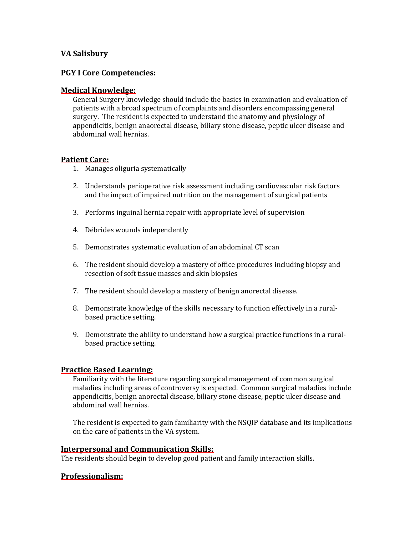## **VA Salisbury**

### **PGY I Core Competencies:**

#### **Medical Knowledge:**

General Surgery knowledge should include the basics in examination and evaluation of patients with a broad spectrum of complaints and disorders encompassing general surgery. The resident is expected to understand the anatomy and physiology of appendicitis, benign anaorectal disease, biliary stone disease, peptic ulcer disease and abdominal wall hernias.

#### **Patient Care:**

- 1. Manages oliguria systematically
- 2. Understands perioperative risk assessment including cardiovascular risk factors and the impact of impaired nutrition on the management of surgical patients
- 3. Performs inguinal hernia repair with appropriate level of supervision
- 4. Débrides wounds independently
- 5. Demonstrates systematic evaluation of an abdominal CT scan
- 6. The resident should develop a mastery of office procedures including biopsy and resection of soft tissue masses and skin biopsies
- 7. The resident should develop a mastery of benign anorectal disease.
- 8. Demonstrate knowledge of the skills necessary to function effectively in a ruralbased practice setting.
- 9. Demonstrate the ability to understand how a surgical practice functions in a ruralbased practice setting.

## **Practice Based Learning:**

Familiarity with the literature regarding surgical management of common surgical maladies including areas of controversy is expected. Common surgical maladies include appendicitis, benign anorectal disease, biliary stone disease, peptic ulcer disease and abdominal wall hernias.

The resident is expected to gain familiarity with the NSQIP database and its implications on the care of patients in the VA system.

#### **Interpersonal and Communication Skills:**

The residents should begin to develop good patient and family interaction skills.

## **Professionalism:**